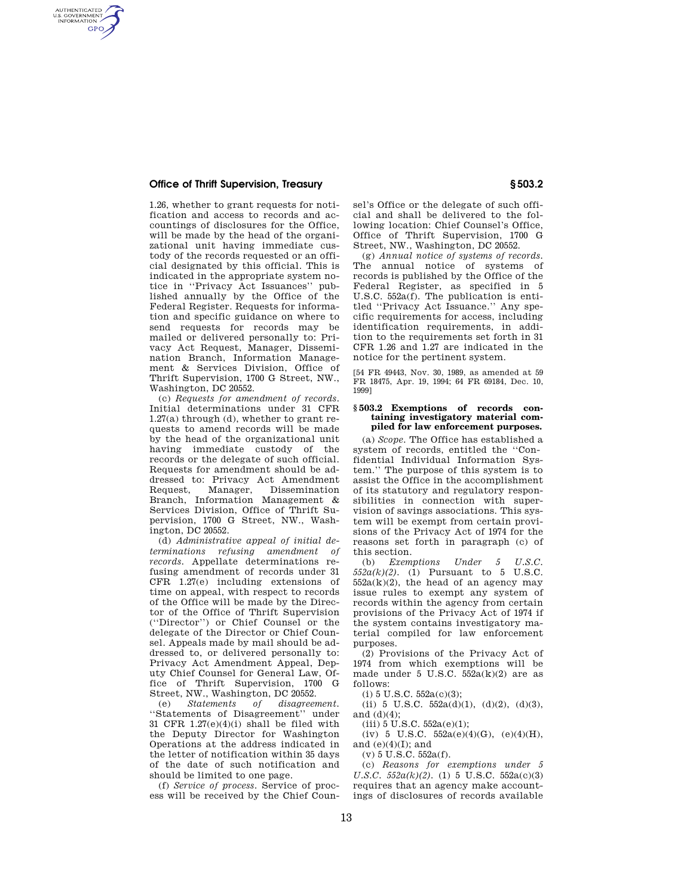## **Office of Thrift Supervision, Treasury § 503.2**

AUTHENTICATED<br>U.S. GOVERNMENT<br>INFORMATION **GPO** 

> 1.26, whether to grant requests for notification and access to records and accountings of disclosures for the Office, will be made by the head of the organizational unit having immediate custody of the records requested or an official designated by this official. This is indicated in the appropriate system notice in ''Privacy Act Issuances'' published annually by the Office of the Federal Register. Requests for information and specific guidance on where to send requests for records may be mailed or delivered personally to: Privacy Act Request, Manager, Dissemination Branch, Information Management & Services Division, Office of Thrift Supervision, 1700 G Street, NW., Washington, DC 20552.

> (c) *Requests for amendment of records.*  Initial determinations under 31 CFR 1.27(a) through (d), whether to grant requests to amend records will be made by the head of the organizational unit having immediate custody of the records or the delegate of such official. Requests for amendment should be addressed to: Privacy Act Amendment<br>Request, Manager, Dissemination **Dissemination** Branch, Information Management & Services Division, Office of Thrift Supervision, 1700 G Street, NW., Washington, DC 20552.

> (d) *Administrative appeal of initial determinations refusing amendment of records.* Appellate determinations refusing amendment of records under 31 CFR 1.27(e) including extensions of time on appeal, with respect to records of the Office will be made by the Director of the Office of Thrift Supervision (''Director'') or Chief Counsel or the delegate of the Director or Chief Counsel. Appeals made by mail should be addressed to, or delivered personally to: Privacy Act Amendment Appeal, Deputy Chief Counsel for General Law, Office of Thrift Supervision, 1700 G Street, NW., Washington, DC 20552.

> (e) *Statements of disagreement.*  ''Statements of Disagreement'' under 31 CFR 1.27(e)(4)(i) shall be filed with the Deputy Director for Washington Operations at the address indicated in the letter of notification within 35 days of the date of such notification and should be limited to one page.

(f) *Service of process.* Service of process will be received by the Chief Counsel's Office or the delegate of such official and shall be delivered to the following location: Chief Counsel's Office, Office of Thrift Supervision, 1700 G Street, NW., Washington, DC 20552.

(g) *Annual notice of systems of records.*  The annual notice of systems of records is published by the Office of the Federal Register, as specified in 5 U.S.C. 552a(f). The publication is entitled ''Privacy Act Issuance.'' Any specific requirements for access, including identification requirements, in addition to the requirements set forth in 31 CFR 1.26 and 1.27 are indicated in the notice for the pertinent system.

[54 FR 49443, Nov. 30, 1989, as amended at 59 FR 18475, Apr. 19, 1994; 64 FR 69184, Dec. 10, 1999]

## **§ 503.2 Exemptions of records containing investigatory material compiled for law enforcement purposes.**

(a) *Scope.* The Office has established a system of records, entitled the ''Confidential Individual Information System.'' The purpose of this system is to assist the Office in the accomplishment of its statutory and regulatory responsibilities in connection with supervision of savings associations. This system will be exempt from certain provisions of the Privacy Act of 1974 for the reasons set forth in paragraph (c) of this section.

(b) *Exemptions Under 5 U.S.C.*   $552a(k)(2)$ . (1) Pursuant to 5 U.S.C.  $552a(k)(2)$ , the head of an agency may issue rules to exempt any system of records within the agency from certain provisions of the Privacy Act of 1974 if the system contains investigatory material compiled for law enforcement purposes.

(2) Provisions of the Privacy Act of 1974 from which exemptions will be made under 5 U.S.C.  $552a(k)(2)$  are as follows:

 $(i)$  5 U.S.C.  $552a(c)(3)$ ;

(ii) 5 U.S.C.  $552a(d)(1)$ ,  $(d)(2)$ ,  $(d)(3)$ , and (d)(4);

 $(iii) 5 U.S.C. 552a(e)(1);$ 

(iv) 5 U.S.C.  $552a(e)(4)(G)$ ,  $(e)(4)(H)$ , and  $(e)(4)(I)$ ; and

(v) 5 U.S.C. 552a(f).

(c) *Reasons for exemptions under 5 U.S.C.*  $552a(k)(2)$ . (1) 5 U.S.C.  $552a(c)(3)$ requires that an agency make accountings of disclosures of records available